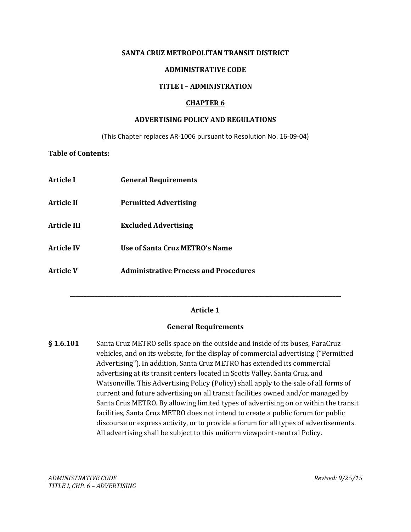#### **SANTA CRUZ METROPOLITAN TRANSIT DISTRICT**

### **ADMINISTRATIVE CODE**

### **TITLE I – ADMINISTRATION**

### **CHAPTER 6**

### **ADVERTISING POLICY AND REGULATIONS**

(This Chapter replaces AR-1006 pursuant to Resolution No. 16-09-04)

#### **Table of Contents:**

| <b>Article I</b>   | <b>General Requirements</b>                  |
|--------------------|----------------------------------------------|
| Article II         | <b>Permitted Advertising</b>                 |
| <b>Article III</b> | <b>Excluded Advertising</b>                  |
| <b>Article IV</b>  | Use of Santa Cruz METRO's Name               |
| <b>Article V</b>   | <b>Administrative Process and Procedures</b> |

# **Article 1**

**\_\_\_\_\_\_\_\_\_\_\_\_\_\_\_\_\_\_\_\_\_\_\_\_\_\_\_\_\_\_\_\_\_\_\_\_\_\_\_\_\_\_\_\_\_\_\_\_\_\_\_\_\_\_\_\_\_\_\_\_\_\_\_\_\_\_\_\_\_\_\_\_\_\_\_\_\_\_\_\_\_\_\_\_\_\_\_\_\_\_\_\_\_\_\_\_\_\_\_**

#### **General Requirements**

**§ 1.6.101** Santa Cruz METRO sells space on the outside and inside of its buses, ParaCruz vehicles, and on its website, for the display of commercial advertising ("Permitted Advertising"). In addition, Santa Cruz METRO has extended its commercial advertising at its transit centers located in Scotts Valley, Santa Cruz, and Watsonville. This Advertising Policy (Policy) shall apply to the sale of all forms of current and future advertising on all transit facilities owned and/or managed by Santa Cruz METRO. By allowing limited types of advertising on or within the transit facilities, Santa Cruz METRO does not intend to create a public forum for public discourse or express activity, or to provide a forum for all types of advertisements. All advertising shall be subject to this uniform viewpoint-neutral Policy.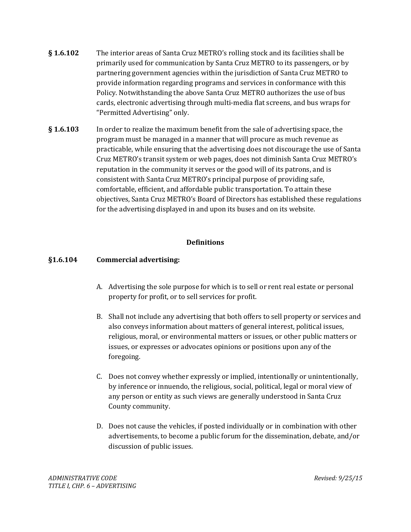- **§ 1.6.102** The interior areas of Santa Cruz METRO's rolling stock and its facilities shall be primarily used for communication by Santa Cruz METRO to its passengers, or by partnering government agencies within the jurisdiction of Santa Cruz METRO to provide information regarding programs and services in conformance with this Policy. Notwithstanding the above Santa Cruz METRO authorizes the use of bus cards, electronic advertising through multi-media flat screens, and bus wraps for "Permitted Advertising" only.
- **§ 1.6.103** In order to realize the maximum benefit from the sale of advertising space, the program must be managed in a manner that will procure as much revenue as practicable, while ensuring that the advertising does not discourage the use of Santa Cruz METRO's transit system or web pages, does not diminish Santa Cruz METRO's reputation in the community it serves or the good will of its patrons, and is consistent with Santa Cruz METRO's principal purpose of providing safe, comfortable, efficient, and affordable public transportation. To attain these objectives, Santa Cruz METRO's Board of Directors has established these regulations for the advertising displayed in and upon its buses and on its website.

# **Definitions**

# **§1.6.104 Commercial advertising:**

- A. Advertising the sole purpose for which is to sell or rent real estate or personal property for profit, or to sell services for profit.
- B. Shall not include any advertising that both offers to sell property or services and also conveys information about matters of general interest, political issues, religious, moral, or environmental matters or issues, or other public matters or issues, or expresses or advocates opinions or positions upon any of the foregoing.
- C. Does not convey whether expressly or implied, intentionally or unintentionally, by inference or innuendo, the religious, social, political, legal or moral view of any person or entity as such views are generally understood in Santa Cruz County community.
- D. Does not cause the vehicles, if posted individually or in combination with other advertisements, to become a public forum for the dissemination, debate, and/or discussion of public issues.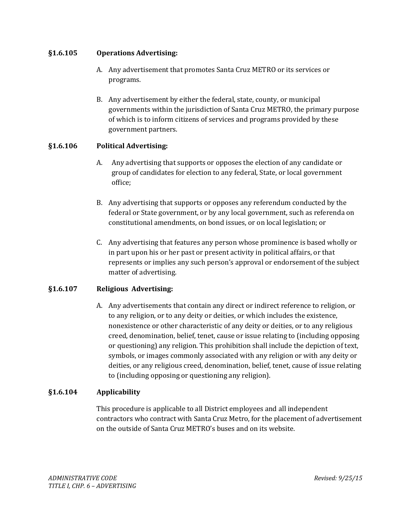### **§1.6.105 Operations Advertising:**

- A. Any advertisement that promotes Santa Cruz METRO or its services or programs.
- B. Any advertisement by either the federal, state, county, or municipal governments within the jurisdiction of Santa Cruz METRO, the primary purpose of which is to inform citizens of services and programs provided by these government partners.

# **§1.6.106 Political Advertising:**

- A. Any advertising that supports or opposes the election of any candidate or group of candidates for election to any federal, State, or local government office;
- B. Any advertising that supports or opposes any referendum conducted by the federal or State government, or by any local government, such as referenda on constitutional amendments, on bond issues, or on local legislation; or
- C. Any advertising that features any person whose prominence is based wholly or in part upon his or her past or present activity in political affairs, or that represents or implies any such person's approval or endorsement of the subject matter of advertising.

### **§1.6.107 Religious Advertising:**

A. Any advertisements that contain any direct or indirect reference to religion, or to any religion, or to any deity or deities, or which includes the existence, nonexistence or other characteristic of any deity or deities, or to any religious creed, denomination, belief, tenet, cause or issue relating to (including opposing or questioning) any religion. This prohibition shall include the depiction of text, symbols, or images commonly associated with any religion or with any deity or deities, or any religious creed, denomination, belief, tenet, cause of issue relating to (including opposing or questioning any religion).

# **§1.6.104 Applicability**

This procedure is applicable to all District employees and all independent contractors who contract with Santa Cruz Metro, for the placement of advertisement on the outside of Santa Cruz METRO's buses and on its website.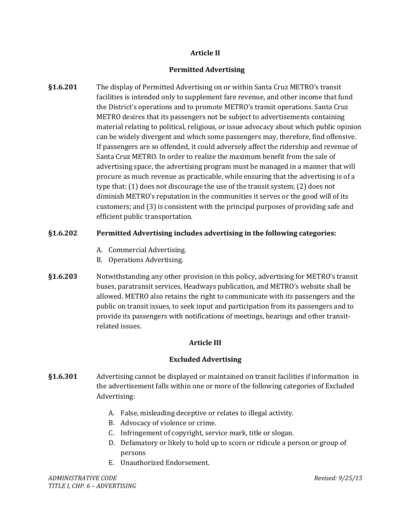# **Article II**

# **Permitted Advertising**

**§1.6.201** The display of Permitted Advertising on or within Santa Cruz METRO's transit facilities is intended only to supplement fare revenue, and other income that fund the District's operations and to promote METRO's transit operations. Santa Cruz METRO desires that its passengers not be subject to advertisements containing material relating to political, religious, or issue advocacy about which public opinion can be widely divergent and which some passengers may, therefore, find offensive. If passengers are so offended, it could adversely affect the ridership and revenue of Santa Cruz METRO. In order to realize the maximum benefit from the sale of advertising space, the advertising program must be managed in a manner that will procure as much revenue as practicable, while ensuring that the advertising is of a type that: (1) does not discourage the use of the transit system; (2) does not diminish METRO's reputation in the communities it serves or the good will of its customers; and (3) is consistent with the principal purposes of providing safe and efficient public transportation.

# **§1.6.202 Permitted Advertising includes advertising in the following categories:**

- A. Commercial Advertising.
- B. Operations Advertising.
- **§1.6.203** Notwithstanding any other provision in this policy, advertising for METRO's transit buses, paratransit services, Headways publication, and METRO's website shall be allowed. METRO also retains the right to communicate with its passengers and the public on transit issues, to seek input and participation from its passengers and to provide its passengers with notifications of meetings, hearings and other transitrelated issues.

# **Article III**

# **Excluded Advertising**

- **§1.6.301** Advertising cannot be displayed or maintained on transit facilities if information in the advertisement falls within one or more of the following categories of Excluded Advertising:
	- A. False, misleading deceptive or relates to illegal activity.
	- B. Advocacy of violence or crime.
	- C. Infringement of copyright, service mark, title or slogan.
	- D. Defamatory or likely to hold up to scorn or ridicule a person or group of persons
	- E. Unauthorized Endorsement.